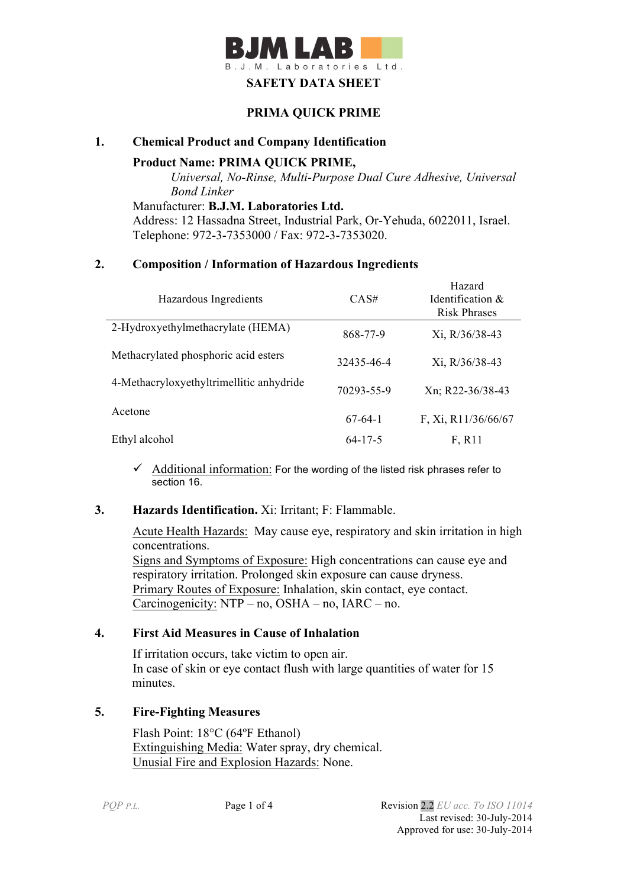

### **PRIMA QUICK PRIME**

### **1. Chemical Product and Company Identification**

**Product Name: PRIMA QUICK PRIME,** 

*Universal, No-Rinse, Multi-Purpose Dual Cure Adhesive, Universal Bond Linker*

Manufacturer: **B.J.M. Laboratories Ltd.** Address: 12 Hassadna Street, Industrial Park, Or-Yehuda, 6022011, Israel. Telephone: 972-3-7353000 / Fax: 972-3-7353020.

### **2. Composition / Information of Hazardous Ingredients**

| Hazardous Ingredients                    | CAS#          | Hazard<br>Identification $\&$<br><b>Risk Phrases</b> |
|------------------------------------------|---------------|------------------------------------------------------|
| 2-Hydroxyethylmethacrylate (HEMA)        | 868-77-9      | Xi, R/36/38-43                                       |
| Methacrylated phosphoric acid esters     | 32435-46-4    | Xi, R/36/38-43                                       |
| 4-Methacryloxyethyltrimellitic anhydride | 70293-55-9    | Xn; R22-36/38-43                                     |
| Acetone                                  | $67-64-1$     | F, Xi, R11/36/66/67                                  |
| Ethyl alcohol                            | $64 - 17 - 5$ | F, R11                                               |

 $\checkmark$  Additional information: For the wording of the listed risk phrases refer to section 16.

# **3. Hazards Identification.** Xi: Irritant; F: Flammable.

Acute Health Hazards: May cause eye, respiratory and skin irritation in high concentrations. Signs and Symptoms of Exposure: High concentrations can cause eye and respiratory irritation. Prolonged skin exposure can cause dryness. Primary Routes of Exposure: Inhalation, skin contact, eye contact. Carcinogenicity: NTP – no, OSHA – no, IARC – no.

### **4. First Aid Measures in Cause of Inhalation**

 If irritation occurs, take victim to open air. In case of skin or eye contact flush with large quantities of water for 15 minutes.

# **5. Fire-Fighting Measures**

Flash Point: 18°C (64ºF Ethanol) Extinguishing Media: Water spray, dry chemical. Unusial Fire and Explosion Hazards: None.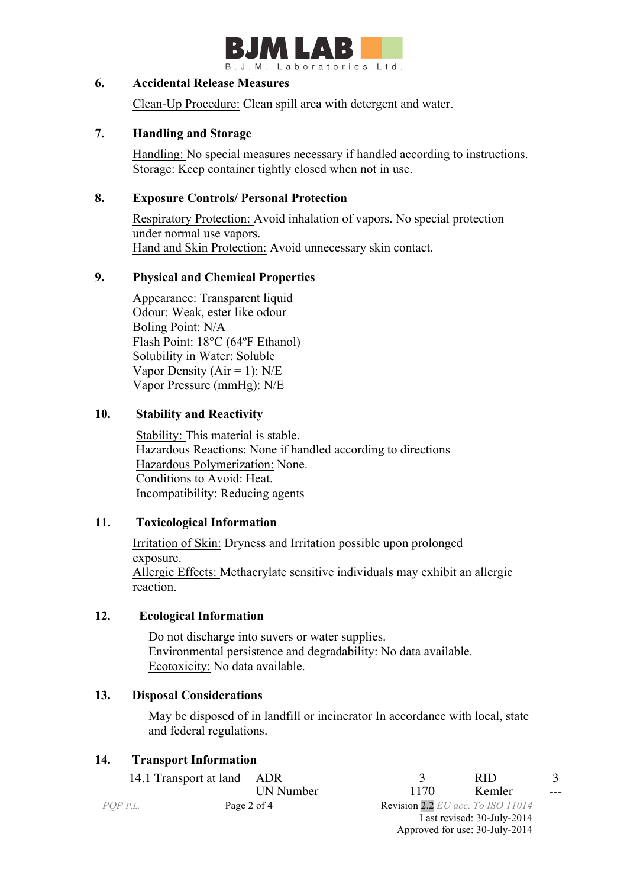

### **6. Accidental Release Measures**

Clean-Up Procedure: Clean spill area with detergent and water.

# **7. Handling and Storage**

 Handling: No special measures necessary if handled according to instructions. Storage: Keep container tightly closed when not in use.

### **8. Exposure Controls/ Personal Protection**

 Respiratory Protection: Avoid inhalation of vapors. No special protection under normal use vapors. Hand and Skin Protection: Avoid unnecessary skin contact.

### **9. Physical and Chemical Properties**

Appearance: Transparent liquid Odour: Weak, ester like odour Boling Point: N/A Flash Point: 18°C (64ºF Ethanol) Solubility in Water: Soluble Vapor Density ( $Air = 1$ ):  $N/E$ Vapor Pressure (mmHg): N/E

# **10. Stability and Reactivity**

 Stability: This material is stable. Hazardous Reactions: None if handled according to directions Hazardous Polymerization: None. Conditions to Avoid: Heat. Incompatibility: Reducing agents

# **11. Toxicological Information**

Irritation of Skin: Dryness and Irritation possible upon prolonged exposure. Allergic Effects: Methacrylate sensitive individuals may exhibit an allergic reaction.

# **12. Ecological Information**

 Do not discharge into suvers or water supplies. Environmental persistence and degradability: No data available. Ecotoxicity: No data available.

### **13. Disposal Considerations**

 May be disposed of in landfill or incinerator In accordance with local, state and federal regulations.

### **14. Transport Information**

|          | 14.1 Transport at land ADR |             |                                   | RID.                           |       |
|----------|----------------------------|-------------|-----------------------------------|--------------------------------|-------|
|          |                            | UN Number   | 1170                              | Kemler                         | $---$ |
| POP p.l. |                            | Page 2 of 4 | Revision 2.2 EU acc. To ISO 11014 |                                |       |
|          |                            |             |                                   | Last revised: 30-July-2014     |       |
|          |                            |             |                                   | Approved for use: 30-July-2014 |       |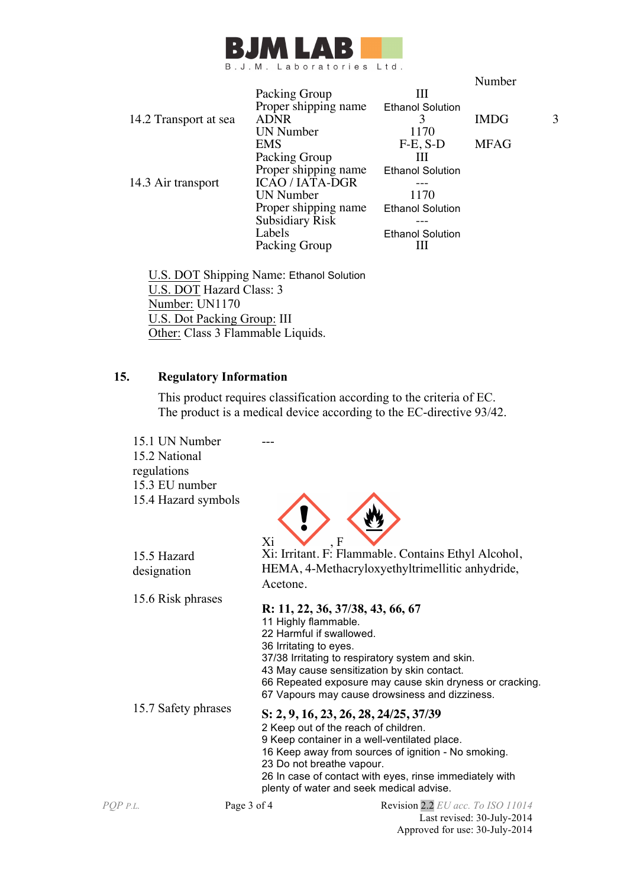

|                       |                        |                         | Number      |   |
|-----------------------|------------------------|-------------------------|-------------|---|
|                       | Packing Group          | Ш                       |             |   |
|                       | Proper shipping name   | <b>Ethanol Solution</b> |             |   |
| 14.2 Transport at sea | <b>ADNR</b>            | 3                       | <b>IMDG</b> | 3 |
|                       | <b>UN Number</b>       | 1170                    |             |   |
|                       | EMS                    | $F-E$ , S-D             | <b>MFAG</b> |   |
|                       | Packing Group          | Ш                       |             |   |
|                       | Proper shipping name   | <b>Ethanol Solution</b> |             |   |
| 14.3 Air transport    | <b>ICAO / IATA-DGR</b> |                         |             |   |
|                       | <b>UN Number</b>       | 1170                    |             |   |
|                       | Proper shipping name   | <b>Ethanol Solution</b> |             |   |
|                       | <b>Subsidiary Risk</b> |                         |             |   |
|                       | Labels                 | <b>Ethanol Solution</b> |             |   |
|                       | Packing Group          |                         |             |   |
|                       |                        |                         |             |   |

 U.S. DOT Shipping Name: Ethanol Solution U.S. DOT Hazard Class: 3 Number: UN1170 U.S. Dot Packing Group: III Other: Class 3 Flammable Liquids.

# **15. Regulatory Information**

This product requires classification according to the criteria of EC. The product is a medical device according to the EC-directive 93/42.

*PQP P.L.* Page 3 of 4 Revision 2.2 *EU acc. To ISO 11014* 15.1 UN Number 15.2 National regulations 15.3 EU number 15.4 Hazard symbols  $Xi$ 15.5 Hazard designation Xi: Irritant. F: Flammable. Contains Ethyl Alcohol, HEMA, 4-Methacryloxyethyltrimellitic anhydride, Acetone. 15.6 Risk phrases **R: 11, 22, 36, 37/38, 43, 66, 67**  11 Highly flammable. 22 Harmful if swallowed. 36 Irritating to eyes. 37/38 Irritating to respiratory system and skin. 43 May cause sensitization by skin contact. 66 Repeated exposure may cause skin dryness or cracking. 67 Vapours may cause drowsiness and dizziness. 15.7 Safety phrases **S: 2, 9, 16, 23, 26, 28, 24/25, 37/39** 2 Keep out of the reach of children. 9 Keep container in a well-ventilated place. 16 Keep away from sources of ignition - No smoking. 23 Do not breathe vapour. 26 In case of contact with eyes, rinse immediately with plenty of water and seek medical advise.

> Last revised: 30-July-2014 Approved for use: 30-July-2014